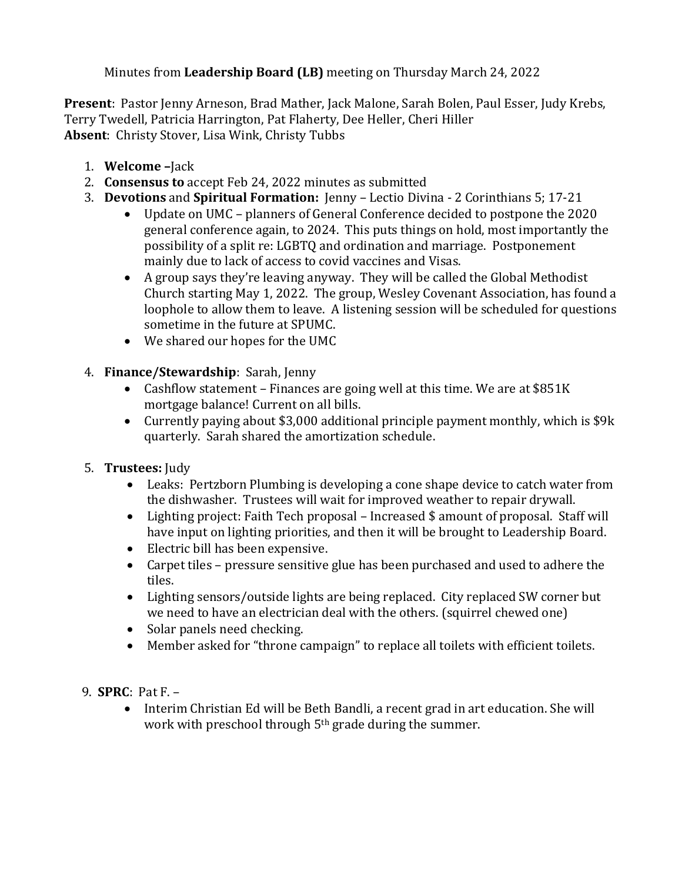Minutes from **Leadership Board (LB)** meeting on Thursday March 24, 2022

**Present**: Pastor Jenny Arneson, Brad Mather, Jack Malone, Sarah Bolen, Paul Esser, Judy Krebs, Terry Twedell, Patricia Harrington, Pat Flaherty, Dee Heller, Cheri Hiller **Absent**: Christy Stover, Lisa Wink, Christy Tubbs

- 1. **Welcome –**Jack
- 2. **Consensus to** accept Feb 24, 2022 minutes as submitted
- 3. **Devotions** and **Spiritual Formation:** Jenny Lectio Divina 2 Corinthians 5; 17-21
	- Update on UMC planners of General Conference decided to postpone the 2020 general conference again, to 2024. This puts things on hold, most importantly the possibility of a split re: LGBTQ and ordination and marriage. Postponement mainly due to lack of access to covid vaccines and Visas.
	- A group says they're leaving anyway. They will be called the Global Methodist Church starting May 1, 2022. The group, Wesley Covenant Association, has found a loophole to allow them to leave. A listening session will be scheduled for questions sometime in the future at SPUMC.
	- We shared our hopes for the UMC
- 4. **Finance/Stewardship**: Sarah, Jenny
	- Cashflow statement Finances are going well at this time. We are at \$851K mortgage balance! Current on all bills.
	- Currently paying about \$3,000 additional principle payment monthly, which is \$9k quarterly. Sarah shared the amortization schedule.
- 5. **Trustees:** Judy
	- Leaks: Pertzborn Plumbing is developing a cone shape device to catch water from the dishwasher. Trustees will wait for improved weather to repair drywall.
	- Lighting project: Faith Tech proposal Increased \$ amount of proposal. Staff will have input on lighting priorities, and then it will be brought to Leadership Board.
	- Electric bill has been expensive.
	- Carpet tiles pressure sensitive glue has been purchased and used to adhere the tiles.
	- Lighting sensors/outside lights are being replaced. City replaced SW corner but we need to have an electrician deal with the others. (squirrel chewed one)
	- Solar panels need checking.
	- Member asked for "throne campaign" to replace all toilets with efficient toilets.
- 9. **SPRC**: Pat F.
	- Interim Christian Ed will be Beth Bandli, a recent grad in art education. She will work with preschool through 5<sup>th</sup> grade during the summer.